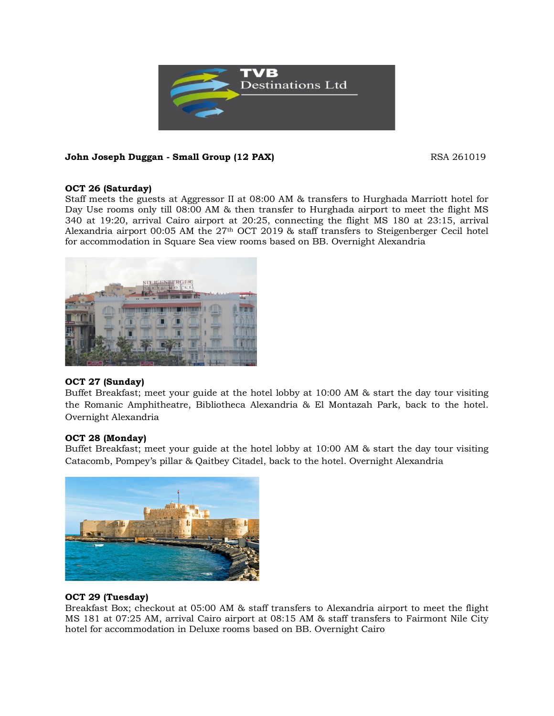

# **John Joseph Duggan - Small Group (12 PAX) RSA 261019** RSA 261019

# **OCT 26 (Saturday)**

Staff meets the guests at Aggressor II at 08:00 AM & transfers to Hurghada Marriott hotel for Day Use rooms only till 08:00 AM & then transfer to Hurghada airport to meet the flight MS 340 at 19:20, arrival Cairo airport at 20:25, connecting the flight MS 180 at 23:15, arrival Alexandria airport 00:05 AM the  $27<sup>th</sup>$  OCT 2019 & staff transfers to Steigenberger Cecil hotel for accommodation in Square Sea view rooms based on BB. Overnight Alexandria



# **OCT 27 (Sunday)**

Buffet Breakfast; meet your guide at the hotel lobby at 10:00 AM & start the day tour visiting the Romanic Amphitheatre, Bibliotheca Alexandria & El Montazah Park, back to the hotel. Overnight Alexandria

# **OCT 28 (Monday)**

Buffet Breakfast; meet your guide at the hotel lobby at 10:00 AM & start the day tour visiting Catacomb, Pompey's pillar & Qaitbey Citadel, back to the hotel. Overnight Alexandria



# **OCT 29 (Tuesday)**

Breakfast Box; checkout at 05:00 AM & staff transfers to Alexandria airport to meet the flight MS 181 at 07:25 AM, arrival Cairo airport at 08:15 AM & staff transfers to Fairmont Nile City hotel for accommodation in Deluxe rooms based on BB. Overnight Cairo